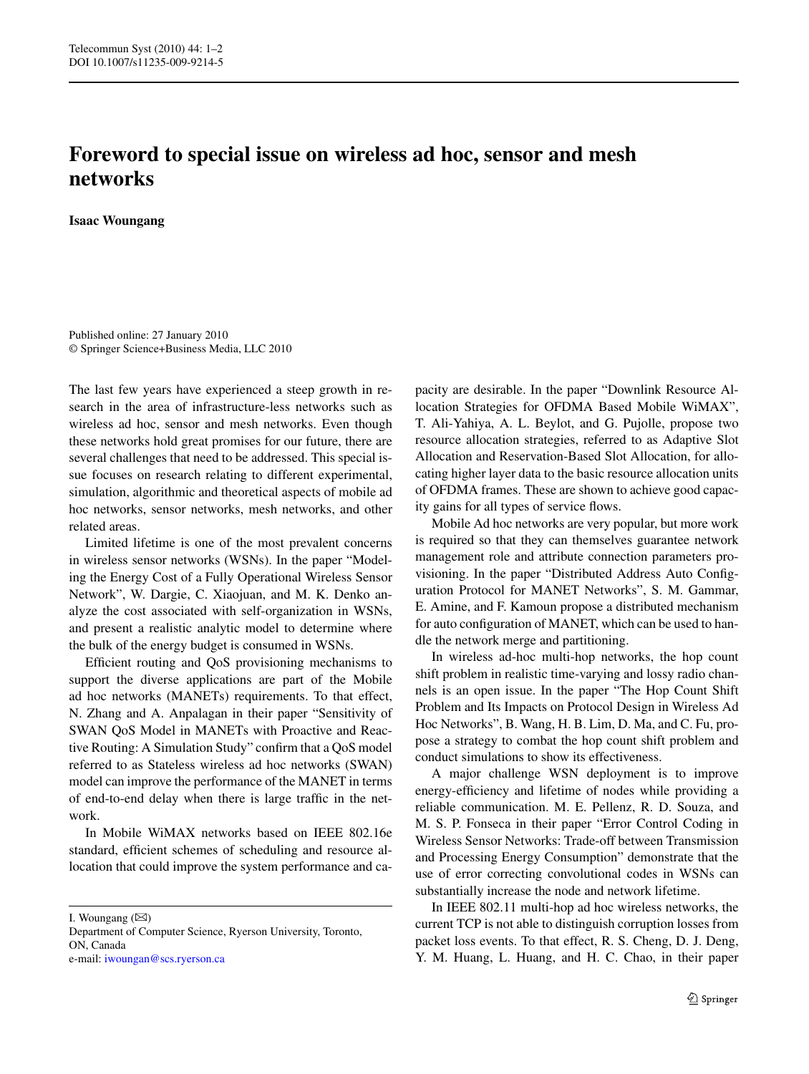## **Foreword to special issue on wireless ad hoc, sensor and mesh networks**

**Isaac Woungang**

Published online: 27 January 2010 © Springer Science+Business Media, LLC 2010

The last few years have experienced a steep growth in research in the area of infrastructure-less networks such as wireless ad hoc, sensor and mesh networks. Even though these networks hold great promises for our future, there are several challenges that need to be addressed. This special issue focuses on research relating to different experimental, simulation, algorithmic and theoretical aspects of mobile ad hoc networks, sensor networks, mesh networks, and other related areas.

Limited lifetime is one of the most prevalent concerns in wireless sensor networks (WSNs). In the paper "Modeling the Energy Cost of a Fully Operational Wireless Sensor Network", W. Dargie, C. Xiaojuan, and M. K. Denko analyze the cost associated with self-organization in WSNs, and present a realistic analytic model to determine where the bulk of the energy budget is consumed in WSNs.

Efficient routing and QoS provisioning mechanisms to support the diverse applications are part of the Mobile ad hoc networks (MANETs) requirements. To that effect, N. Zhang and A. Anpalagan in their paper "Sensitivity of SWAN QoS Model in MANETs with Proactive and Reactive Routing: A Simulation Study" confirm that a QoS model referred to as Stateless wireless ad hoc networks (SWAN) model can improve the performance of the MANET in terms of end-to-end delay when there is large traffic in the network.

In Mobile WiMAX networks based on IEEE 802.16e standard, efficient schemes of scheduling and resource allocation that could improve the system performance and ca-

I. Woungang  $(\boxtimes)$ 

pacity are desirable. In the paper "Downlink Resource Allocation Strategies for OFDMA Based Mobile WiMAX", T. Ali-Yahiya, A. L. Beylot, and G. Pujolle, propose two resource allocation strategies, referred to as Adaptive Slot Allocation and Reservation-Based Slot Allocation, for allocating higher layer data to the basic resource allocation units of OFDMA frames. These are shown to achieve good capacity gains for all types of service flows.

Mobile Ad hoc networks are very popular, but more work is required so that they can themselves guarantee network management role and attribute connection parameters provisioning. In the paper "Distributed Address Auto Configuration Protocol for MANET Networks", S. M. Gammar, E. Amine, and F. Kamoun propose a distributed mechanism for auto configuration of MANET, which can be used to handle the network merge and partitioning.

In wireless ad-hoc multi-hop networks, the hop count shift problem in realistic time-varying and lossy radio channels is an open issue. In the paper "The Hop Count Shift Problem and Its Impacts on Protocol Design in Wireless Ad Hoc Networks", B. Wang, H. B. Lim, D. Ma, and C. Fu, propose a strategy to combat the hop count shift problem and conduct simulations to show its effectiveness.

A major challenge WSN deployment is to improve energy-efficiency and lifetime of nodes while providing a reliable communication. M. E. Pellenz, R. D. Souza, and M. S. P. Fonseca in their paper "Error Control Coding in Wireless Sensor Networks: Trade-off between Transmission and Processing Energy Consumption" demonstrate that the use of error correcting convolutional codes in WSNs can substantially increase the node and network lifetime.

In IEEE 802.11 multi-hop ad hoc wireless networks, the current TCP is not able to distinguish corruption losses from packet loss events. To that effect, R. S. Cheng, D. J. Deng, Y. M. Huang, L. Huang, and H. C. Chao, in their paper

Department of Computer Science, Ryerson University, Toronto, ON, Canada e-mail: [iwoungan@scs.ryerson.ca](mailto:iwoungan@scs.ryerson.ca)